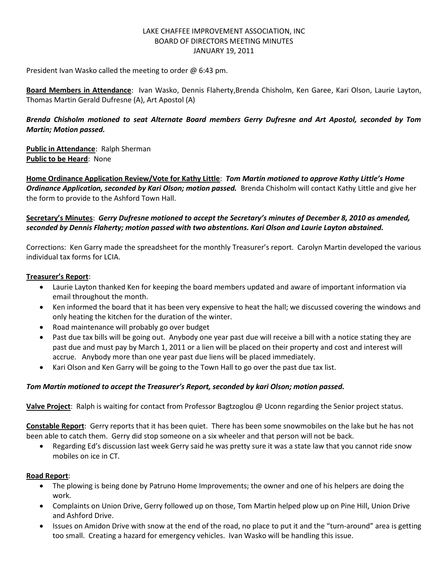## LAKE CHAFFEE IMPROVEMENT ASSOCIATION, INC BOARD OF DIRECTORS MEETING MINUTES JANUARY 19, 2011

President Ivan Wasko called the meeting to order @ 6:43 pm.

**Board Members in Attendance**: Ivan Wasko, Dennis Flaherty,Brenda Chisholm, Ken Garee, Kari Olson, Laurie Layton, Thomas Martin Gerald Dufresne (A), Art Apostol (A)

# *Brenda Chisholm motioned to seat Alternate Board members Gerry Dufresne and Art Apostol, seconded by Tom Martin; Motion passed.*

**Public in Attendance**: Ralph Sherman **Public to be Heard**: None

**Home Ordinance Application Review/Vote for Kathy Little**: *Tom Martin motioned to approve Kathy Little's Home Ordinance Application, seconded by Kari Olson; motion passed.* Brenda Chisholm will contact Kathy Little and give her the form to provide to the Ashford Town Hall.

# **Secretary's Minutes**: *Gerry Dufresne motioned to accept the Secretary's minutes of December 8, 2010 as amended, seconded by Dennis Flaherty; motion passed with two abstentions. Kari Olson and Laurie Layton abstained.*

Corrections: Ken Garry made the spreadsheet for the monthly Treasurer's report. Carolyn Martin developed the various individual tax forms for LCIA.

# **Treasurer's Report**:

- Laurie Layton thanked Ken for keeping the board members updated and aware of important information via email throughout the month.
- Ken informed the board that it has been very expensive to heat the hall; we discussed covering the windows and only heating the kitchen for the duration of the winter.
- Road maintenance will probably go over budget
- Past due tax bills will be going out. Anybody one year past due will receive a bill with a notice stating they are past due and must pay by March 1, 2011 or a lien will be placed on their property and cost and interest will accrue. Anybody more than one year past due liens will be placed immediately.
- Kari Olson and Ken Garry will be going to the Town Hall to go over the past due tax list.

#### *Tom Martin motioned to accept the Treasurer's Report, seconded by kari Olson; motion passed.*

**Valve Project**: Ralph is waiting for contact from Professor Bagtzoglou @ Uconn regarding the Senior project status.

**Constable Report**: Gerry reports that it has been quiet. There has been some snowmobiles on the lake but he has not been able to catch them. Gerry did stop someone on a six wheeler and that person will not be back.

 Regarding Ed's discussion last week Gerry said he was pretty sure it was a state law that you cannot ride snow mobiles on ice in CT.

#### **Road Report**:

- The plowing is being done by Patruno Home Improvements; the owner and one of his helpers are doing the work.
- Complaints on Union Drive, Gerry followed up on those, Tom Martin helped plow up on Pine Hill, Union Drive and Ashford Drive.
- Issues on Amidon Drive with snow at the end of the road, no place to put it and the "turn-around" area is getting too small. Creating a hazard for emergency vehicles. Ivan Wasko will be handling this issue.